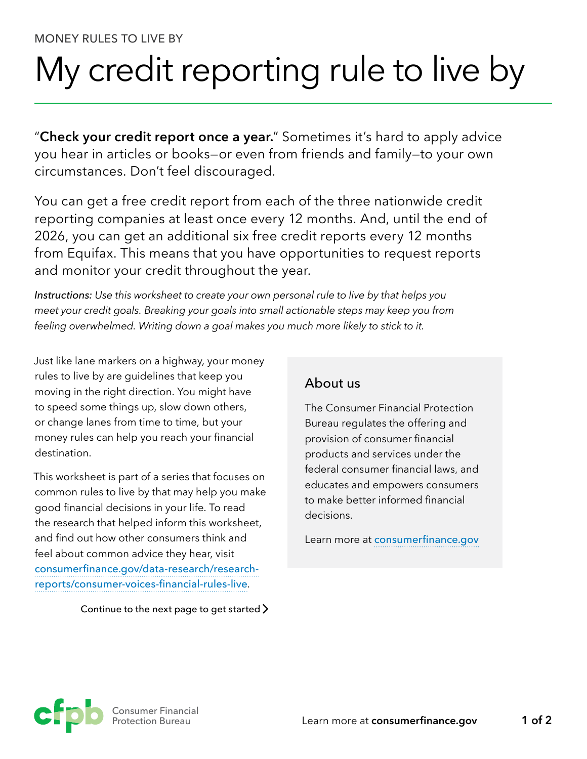### MONEY RULES TO LIVE BY

# My credit reporting rule to live by

"**Check your credit report once a year.**" Sometimes it's hard to apply advice you hear in articles or books—or even from friends and family—to your own circumstances. Don't feel discouraged.

You can get a free credit report from each of the three nationwide credit reporting companies at least once every 12 months. And, until the end of 2026, you can get an additional six free credit reports every 12 months from Equifax. This means that you have opportunities to request reports and monitor your credit throughout the year.

*Instructions: Use this worksheet to create your own personal rule to live by that helps you meet your credit goals. Breaking your goals into small actionable steps may keep you from feeling overwhelmed. Writing down a goal makes you much more likely to stick to it.*

Just like lane markers on a highway, your money rules to live by are guidelines that keep you moving in the right direction. You might have to speed some things up, slow down others, or change lanes from time to time, but your money rules can help you reach your financial destination.

This worksheet is part of a series that focuses on common rules to live by that may help you make good financial decisions in your life. To read the research that helped inform this worksheet, and find out how other consumers think and feel about common advice they hear, visit [consumerfinance.gov/data-research/research](https://www.consumerfinance.gov/data-research/research-reports/consumer-voices-financial-rules-live)[reports/consumer-voices-financial-rules-live](https://www.consumerfinance.gov/data-research/research-reports/consumer-voices-financial-rules-live).

#### Continue to the next page to get started  $\sum$

## About us

The Consumer Financial Protection Bureau regulates the offering and provision of consumer financial products and services under the federal consumer financial laws, and educates and empowers consumers to make better informed financial decisions.

Learn more at [consumerfinance.gov](https://www.consumerfinance.gov)